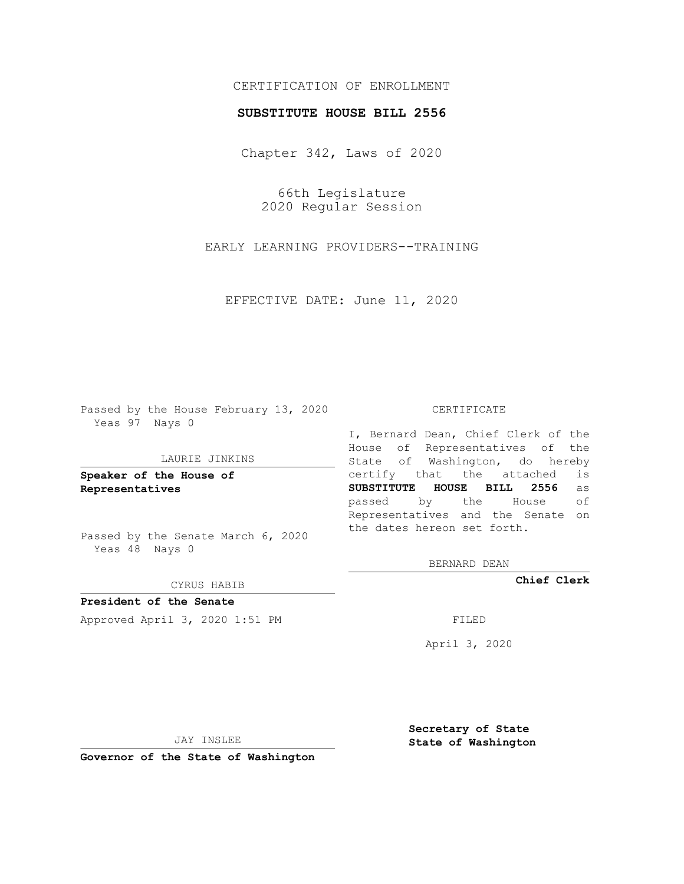# CERTIFICATION OF ENROLLMENT

### **SUBSTITUTE HOUSE BILL 2556**

Chapter 342, Laws of 2020

66th Legislature 2020 Regular Session

EARLY LEARNING PROVIDERS--TRAINING

EFFECTIVE DATE: June 11, 2020

Passed by the House February 13, 2020 Yeas 97 Nays 0

### LAURIE JINKINS

**Speaker of the House of Representatives**

Passed by the Senate March 6, 2020 Yeas 48 Nays 0

#### CYRUS HABIB

**President of the Senate** Approved April 3, 2020 1:51 PM FILED

#### CERTIFICATE

I, Bernard Dean, Chief Clerk of the House of Representatives of the State of Washington, do hereby certify that the attached is **SUBSTITUTE HOUSE BILL 2556** as passed by the House of Representatives and the Senate on the dates hereon set forth.

BERNARD DEAN

**Chief Clerk**

April 3, 2020

JAY INSLEE

**Governor of the State of Washington**

**Secretary of State State of Washington**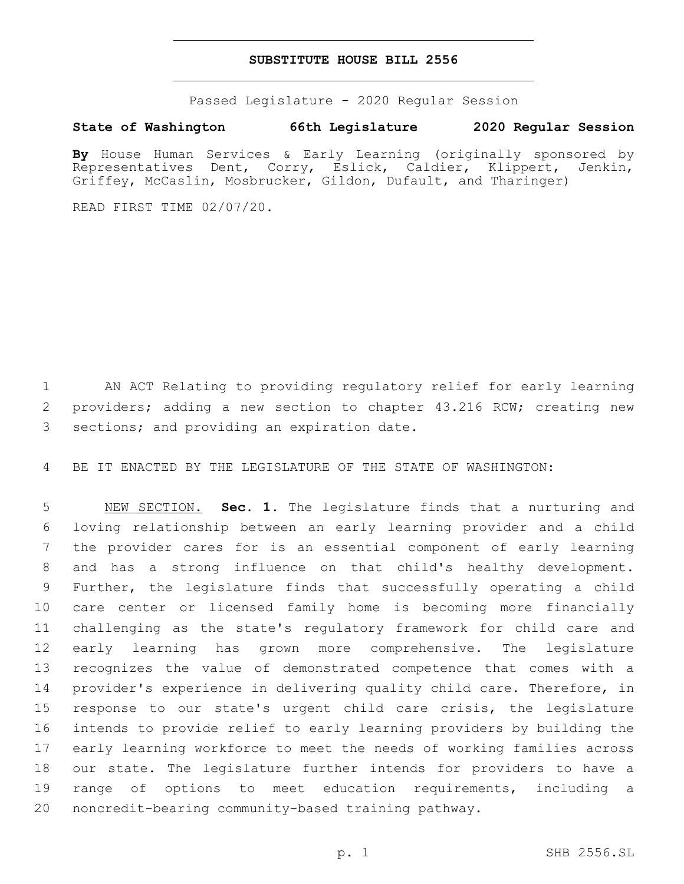### **SUBSTITUTE HOUSE BILL 2556**

Passed Legislature - 2020 Regular Session

## **State of Washington 66th Legislature 2020 Regular Session**

**By** House Human Services & Early Learning (originally sponsored by Representatives Dent, Corry, Eslick, Caldier, Klippert, Jenkin, Griffey, McCaslin, Mosbrucker, Gildon, Dufault, and Tharinger)

READ FIRST TIME 02/07/20.

 AN ACT Relating to providing regulatory relief for early learning 2 providers; adding a new section to chapter 43.216 RCW; creating new 3 sections; and providing an expiration date.

BE IT ENACTED BY THE LEGISLATURE OF THE STATE OF WASHINGTON:

 NEW SECTION. **Sec. 1.** The legislature finds that a nurturing and loving relationship between an early learning provider and a child the provider cares for is an essential component of early learning and has a strong influence on that child's healthy development. Further, the legislature finds that successfully operating a child care center or licensed family home is becoming more financially challenging as the state's regulatory framework for child care and early learning has grown more comprehensive. The legislature recognizes the value of demonstrated competence that comes with a provider's experience in delivering quality child care. Therefore, in response to our state's urgent child care crisis, the legislature intends to provide relief to early learning providers by building the early learning workforce to meet the needs of working families across our state. The legislature further intends for providers to have a range of options to meet education requirements, including a noncredit-bearing community-based training pathway.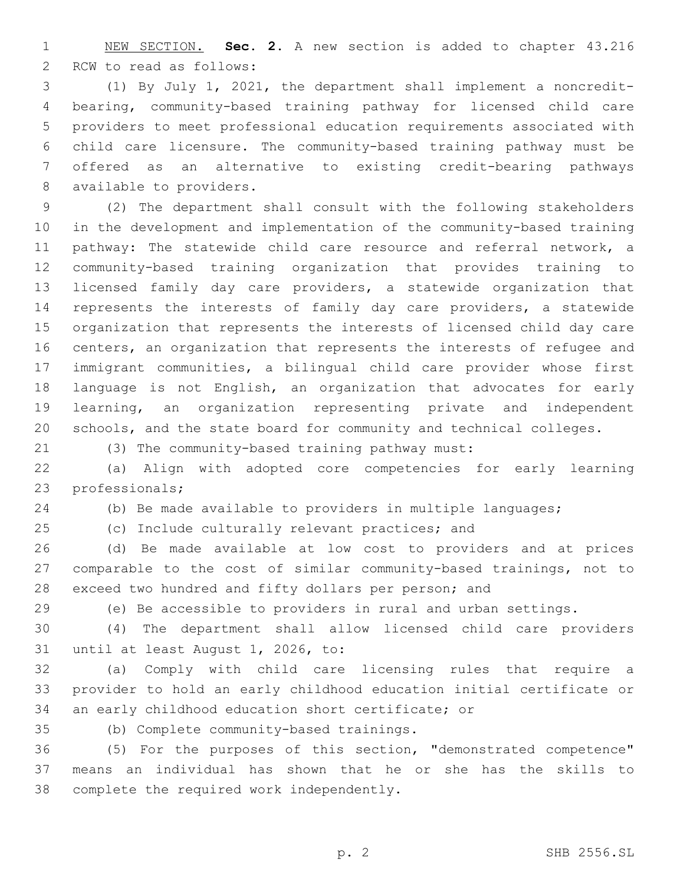NEW SECTION. **Sec. 2.** A new section is added to chapter 43.216 2 RCW to read as follows:

 (1) By July 1, 2021, the department shall implement a noncredit- bearing, community-based training pathway for licensed child care providers to meet professional education requirements associated with child care licensure. The community-based training pathway must be offered as an alternative to existing credit-bearing pathways 8 available to providers.

 (2) The department shall consult with the following stakeholders in the development and implementation of the community-based training pathway: The statewide child care resource and referral network, a community-based training organization that provides training to licensed family day care providers, a statewide organization that represents the interests of family day care providers, a statewide organization that represents the interests of licensed child day care centers, an organization that represents the interests of refugee and immigrant communities, a bilingual child care provider whose first language is not English, an organization that advocates for early learning, an organization representing private and independent schools, and the state board for community and technical colleges.

(3) The community-based training pathway must:

 (a) Align with adopted core competencies for early learning 23 professionals;

(b) Be made available to providers in multiple languages;

(c) Include culturally relevant practices; and

 (d) Be made available at low cost to providers and at prices comparable to the cost of similar community-based trainings, not to exceed two hundred and fifty dollars per person; and

(e) Be accessible to providers in rural and urban settings.

 (4) The department shall allow licensed child care providers 31 until at least August 1, 2026, to:

 (a) Comply with child care licensing rules that require a provider to hold an early childhood education initial certificate or an early childhood education short certificate; or

(b) Complete community-based trainings.35

 (5) For the purposes of this section, "demonstrated competence" means an individual has shown that he or she has the skills to 38 complete the required work independently.